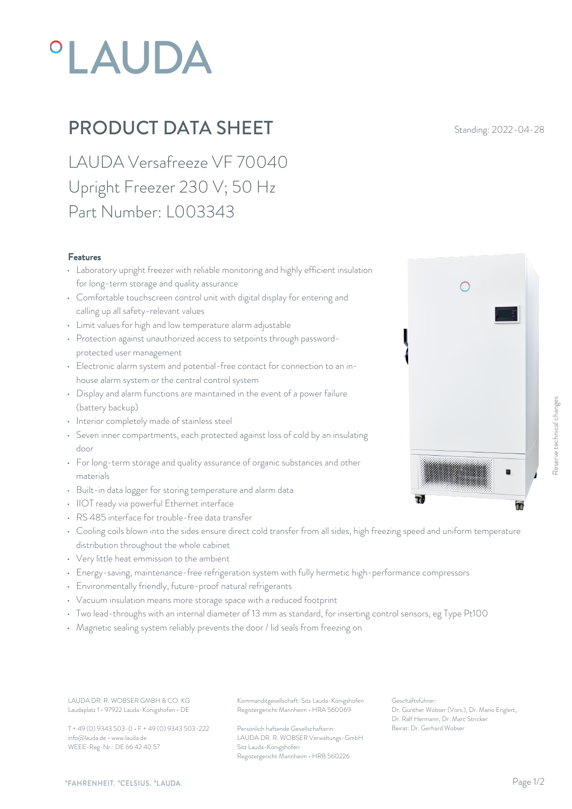## **°LAUDA**

## **PRODUCT DATA SHEET** Standing: 2022-04-28

LAUDA Versafreeze VF 70040 Upright Freezer 230 V; 50 Hz Part Number: L003343

## Features

- Laboratory upright freezer with reliable monitoring and highly efficient insulation for long-term storage and quality assurance
- Comfortable touchscreen control unit with digital display for entering and calling up all safety-relevant values
- Limit values for high and low temperature alarm adjustable
- Protection against unauthorized access to setpoints through passwordprotected user management
- Electronic alarm system and potential-free contact for connection to an inhouse alarm system or the central control system
- Display and alarm functions are maintained in the event of a power failure (battery backup)
- Interior completely made of stainless steel
- Seven inner compartments, each protected against loss of cold by an insulating door
- For long-term storage and quality assurance of organic substances and other materials
- Built-in data logger for storing temperature and alarm data
- IIOT ready via powerful Ethernet interface
- RS 485 interface for trouble-free data transfer
- Cooling coils blown into the sides ensure direct cold transfer from all sides, high freezing speed and uniform temperature distribution throughout the whole cabinet
- Very little heat emmission to the ambient
- Energy-saving, maintenance-free refrigeration system with fully hermetic high-performance compressors
- Environmentally friendly, future-proof natural refrigerants
- Vacuum insulation means more storage space with a reduced footprint
- Two lead-throughs with an internal diameter of 13 mm as standard, for inserting control sensors, eg Type Pt100
- Magnetic sealing system reliably prevents the door / lid seals from freezing on

Laudaplatz 1 • 97922 Lauda-Königshofen • DE

T + 49 (0) 9343 503-0 • F + 49 (0) 9343 503-222 info@lauda.de • www.lauda.de WEEE-Reg-Nr.: DE 66 42 40 57

LAUDA DR. R. WOBSER GMBH & CO. KG Kommanditgesellschaft: Sitz Lauda-Königshofen Geschäftsführer: Registergericht Mannheim • HRA 560069

> Persönlich haftende Gesellschafterin: Beirat: Dr. Gerhard Wobse LAUDA DR. R. WOBSER Verwaltungs-GmbH Sitz Lauda-Königshofen Registergericht Mannheim • HRB 560226

Geschäftsführer: Dr. Gunther Wobser (Vors.), Dr. Mario Englert, Dr. Ralf Hermann, Dr. Marc Stricker